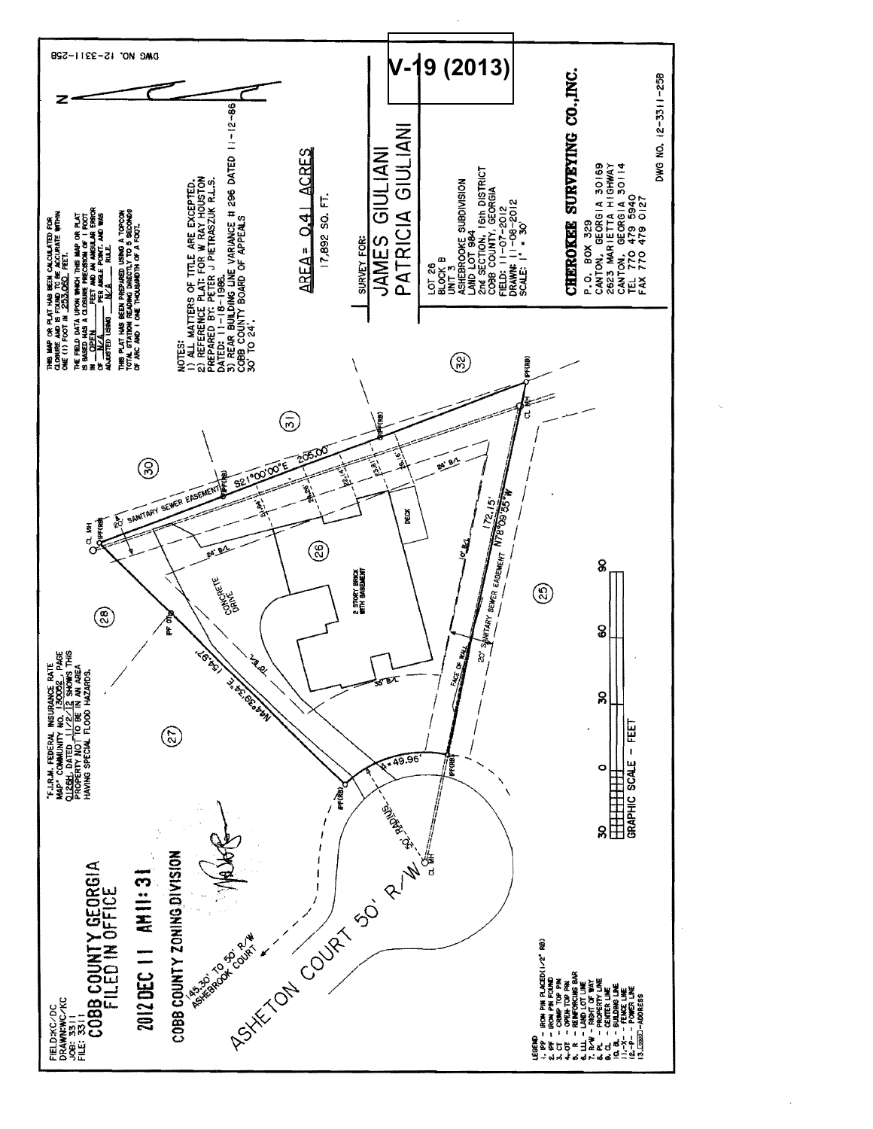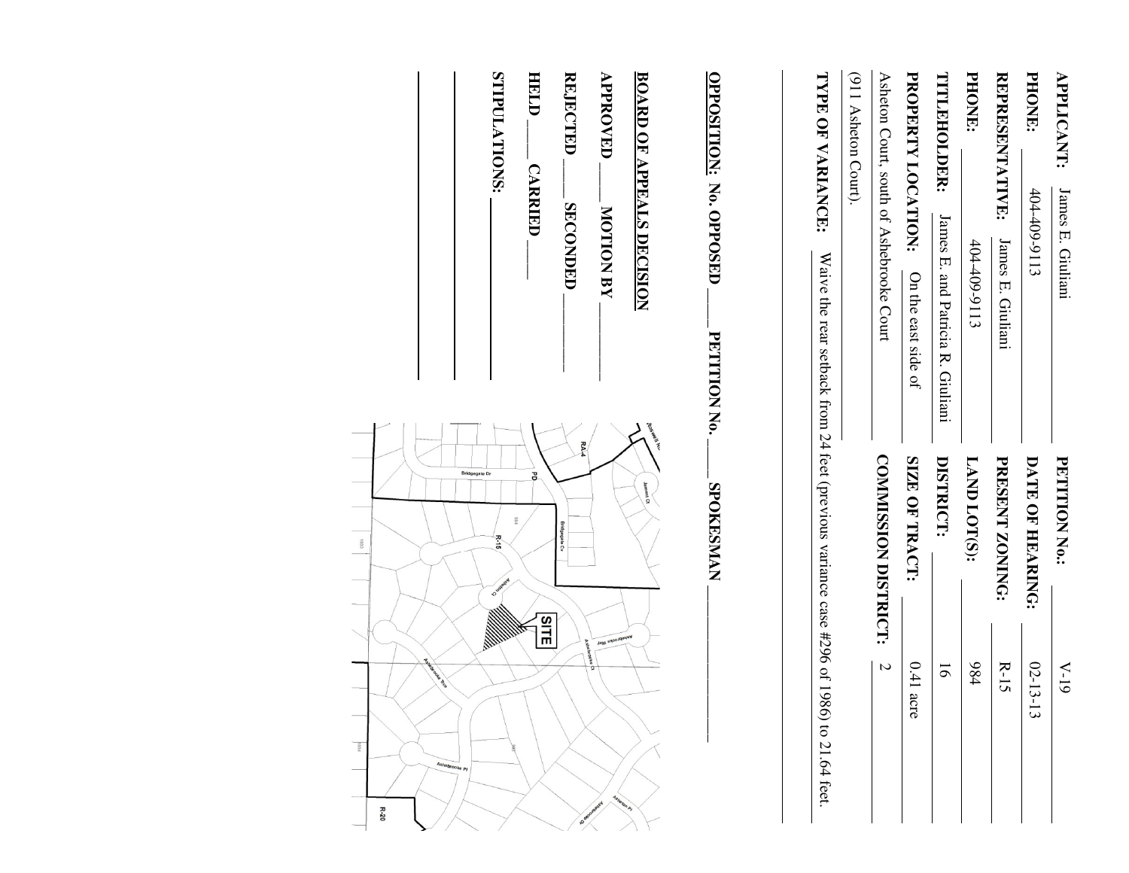| <b>PETITION No.:</b> | $V-19$                                                                                                        |
|----------------------|---------------------------------------------------------------------------------------------------------------|
| DATE OF HEARING:     | $02 - 13 -$<br>$\vec{3}$                                                                                      |
| PRESENT ZONING:      | $R-15$                                                                                                        |
| LAND LOT(S):         | 984                                                                                                           |
| DISTRICT:            | 5                                                                                                             |
| SIZE OF TRACT:       | $0.41$ acre                                                                                                   |
| COMMISSION DISTRICT: | $\overline{a}$                                                                                                |
|                      |                                                                                                               |
|                      |                                                                                                               |
|                      |                                                                                                               |
| <b>SPOKESMAN</b>     |                                                                                                               |
| Jamont Ct            |                                                                                                               |
|                      | <b>Vetreprooke May</b><br>shebrooke                                                                           |
|                      | Waive the rear setback from 24 feet (previous variance case #296 of 1986) to 21.64 feet.<br>toe Well Ky<br>RA |

**REJECTED REJECTED \_\_\_\_\_ SECONDED \_\_\_\_\_\_\_\_\_\_ SECONDED** 

HELD. **HELD \_\_\_\_\_ CARRIED \_\_\_\_\_ CARRIED** 

STIPULATIONS: **STIPULATIONS:** 

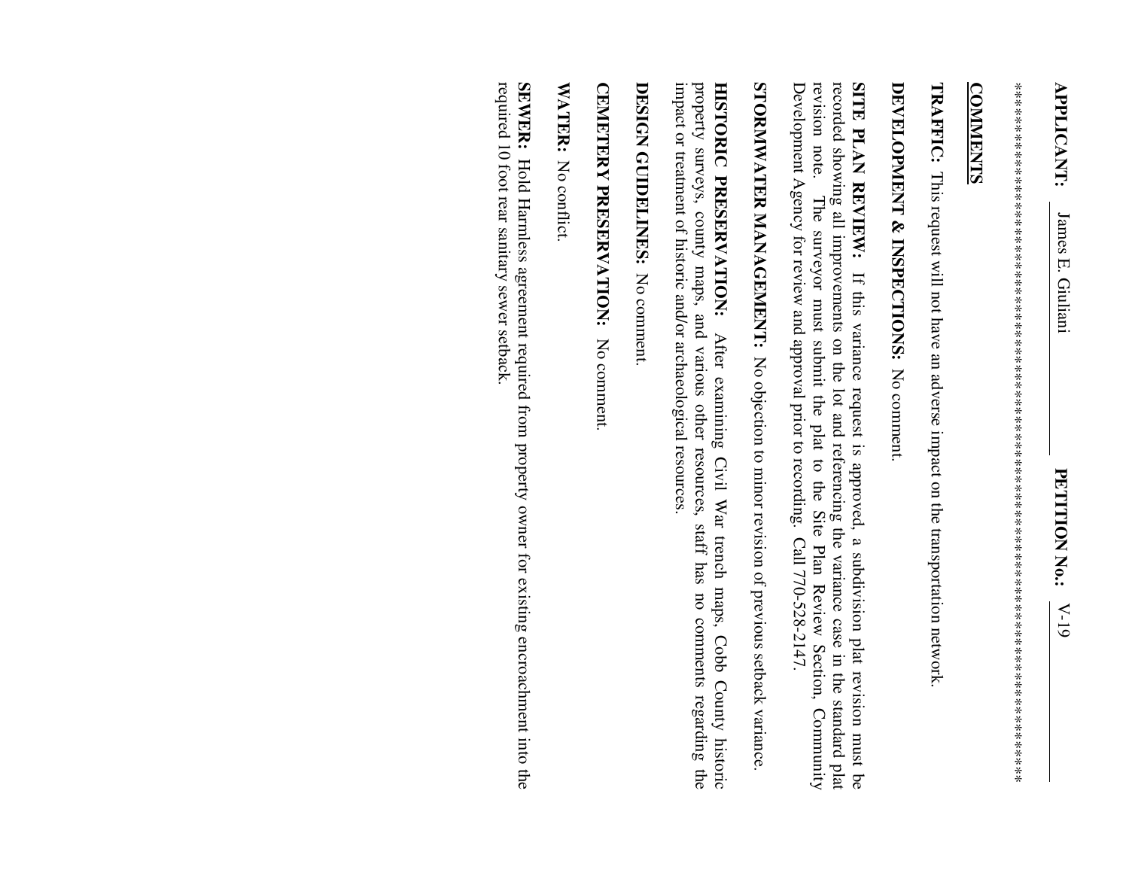\*\*\*\*\*\*\*\*\*\*\*\*\*\*\*\*\*\*\*\*\*\*\*\*\*\*\*\*\*\*\*\*\*\*\*\*\*\*\*\*\*\*\*\*\*\*\*\*\*\*\*\*\*\*\*\*\*\*\*\*\*\*\*\*\*\*\*\*\*\*\*\*\*\*\*\*\*\*\*\*\*\* 

## **COMMENTS COMMENTS**

**TRAFFIC:**  This request will not have an adverse impact on the transportation network.

## **DEVELOPMENT & INSPECTIONS:**  No comment.

recorded showing all improvements on the lot and referencing the variance case in the standard plat SITE PLAN REVIEW: If this variance request is approved, a subdivision plat revision must be Development Agency for review and approval prior to recording. Call 770-528-2147. Development Agency for review and approval prior to recording. Call 770-528-2147. revision note. The surveyor must submit the plat revision note. recorded showing all improvements on the lot and referencing the variance case in the standard plat **SITE PLAN REVIEW:** If this variance request is approved, a subdivision plat revision must be The surveyor must submit the plat to the Site Plan Review Section, Community to the Site Plan Review Section, Community

STORNWATER MANAGEMENT: No objection to minor revision of previous setback variance. **STORMWATER MANAGEMENT:** No objection to minor revision of previous setback variance.

impact or treatment of historic and/or archaeological resources impact or treatment of historic and/or archaeological resources. property surveys, county maps, and various other resources, staff has no comments regarding the property surveys, county maps, and various other resources, staff has no comments regarding the HISTORIC PRESERVATION: **HISTORIC PRESERVATION:** After examining Civil War trench maps, Cobb County historic After examining Civil War trench maps, Cobb County historic

DESIGN GUIDELINES: No comment **DESIGN GUIDELINES:** No comment.

CEMETERY PRESERVATION: **CEMETERY PRESERVATION:** No comment. No comment.

WATER: No conflict. No conflict.

required 10 foot rear sanitary sewer setback. SEWER: Hold Harmless agreement required from property owner for existing encroachment into the required 10 foot rear sanitary sewer setback. **SEWER:** Hold Harmless agreement required from property owner for existing encroachment into the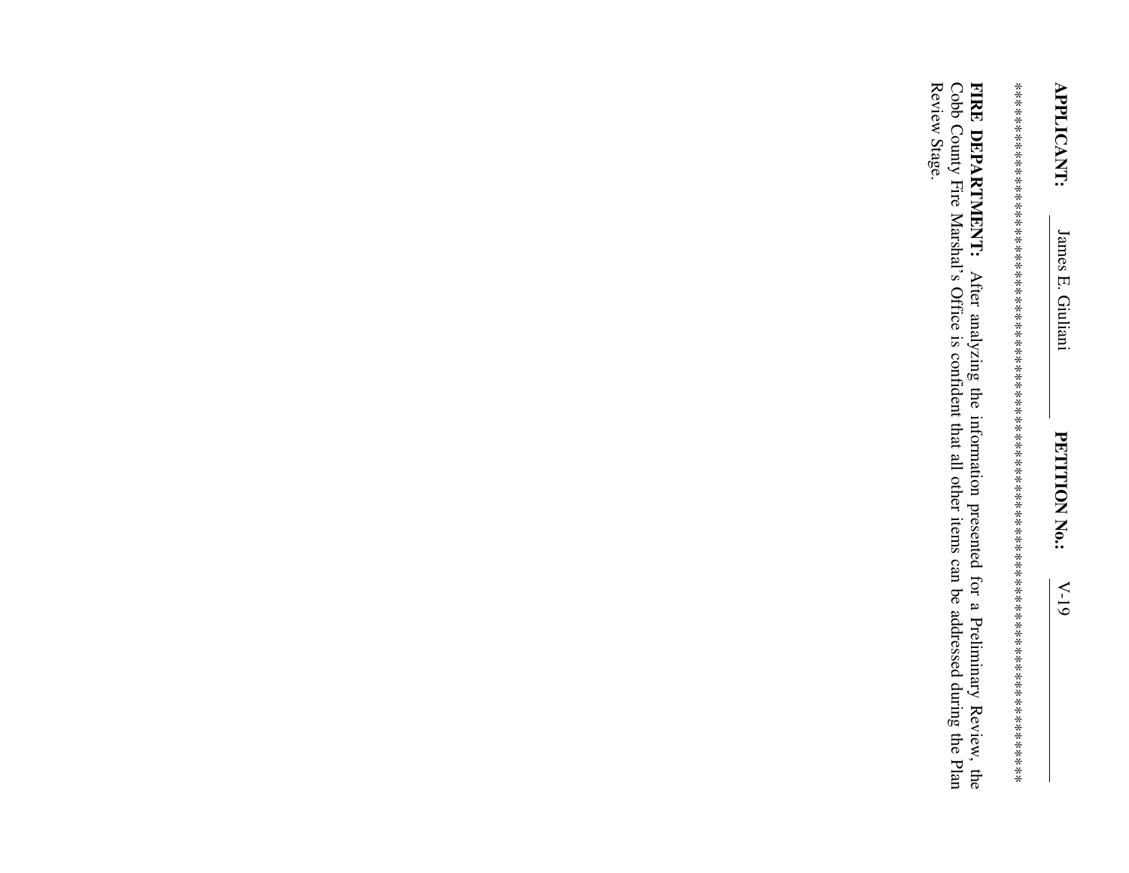Review Stage. FIRE DEPARTMENT: After analyzing the information presented for a Preliminary Review, the Cobb County Fire Marshal's Office is confident that all other items can be addressed during the Plan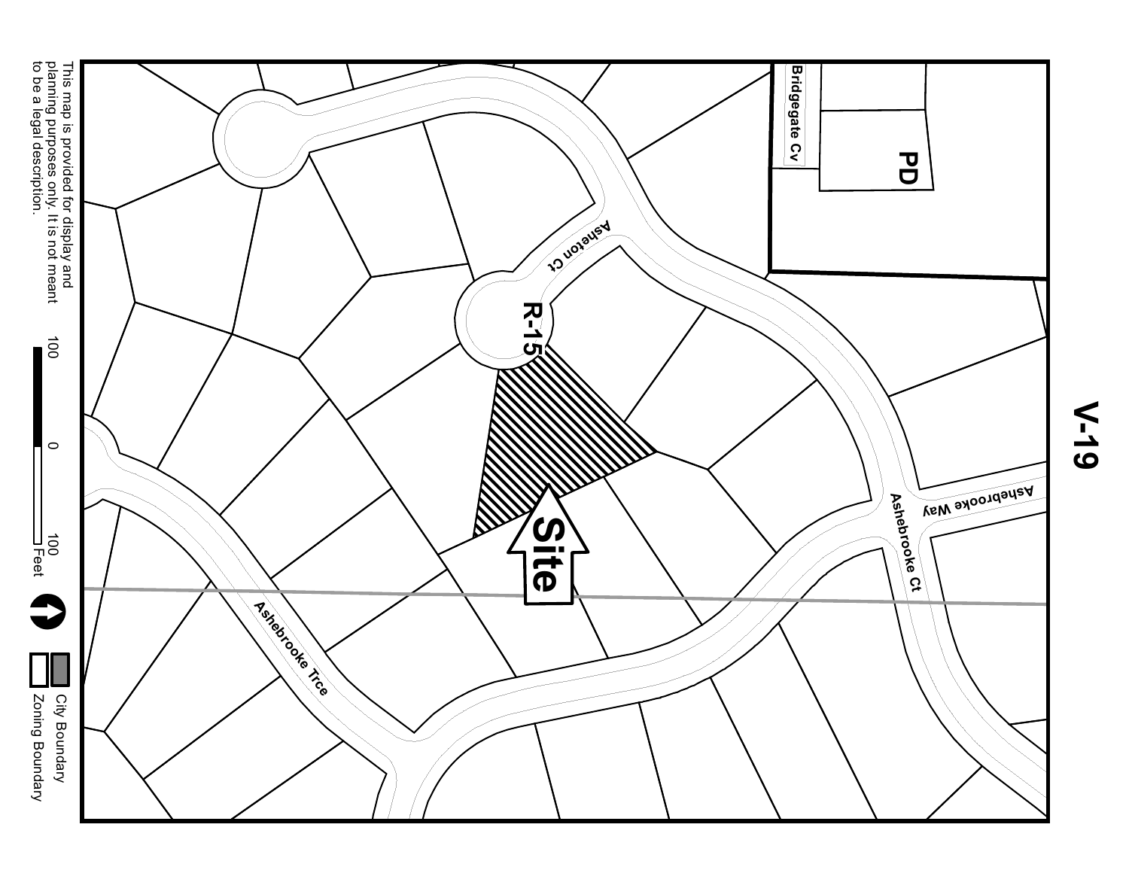

**V-19**